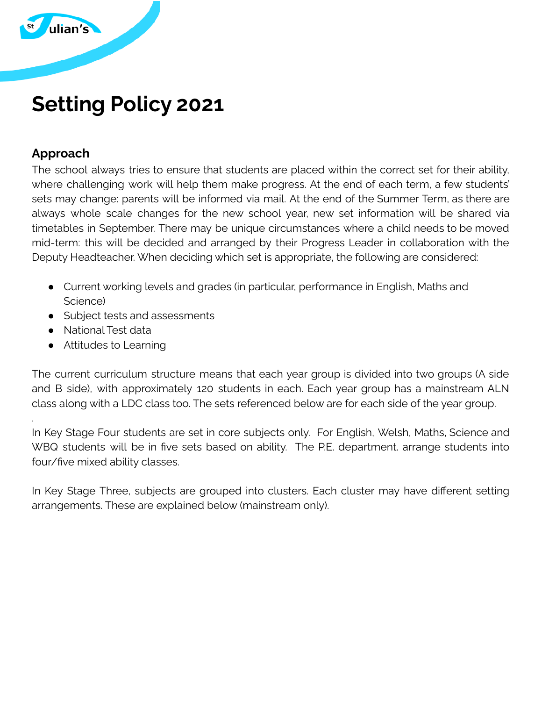

# **Setting Policy 2021**

#### **Approach**

.

The school always tries to ensure that students are placed within the correct set for their ability, where challenging work will help them make progress. At the end of each term, a few students' sets may change: parents will be informed via mail. At the end of the Summer Term, as there are always whole scale changes for the new school year, new set information will be shared via timetables in September. There may be unique circumstances where a child needs to be moved mid-term: this will be decided and arranged by their Progress Leader in collaboration with the Deputy Headteacher. When deciding which set is appropriate, the following are considered:

- Current working levels and grades (in particular, performance in English, Maths and Science)
- Subject tests and assessments
- National Test data
- Attitudes to Learning

The current curriculum structure means that each year group is divided into two groups (A side and B side), with approximately 120 students in each. Each year group has a mainstream ALN class along with a LDC class too. The sets referenced below are for each side of the year group.

In Key Stage Four students are set in core subjects only. For English, Welsh, Maths, Science and WBQ students will be in five sets based on ability. The P.E. department. arrange students into four/five mixed ability classes.

In Key Stage Three, subjects are grouped into clusters. Each cluster may have different setting arrangements. These are explained below (mainstream only).